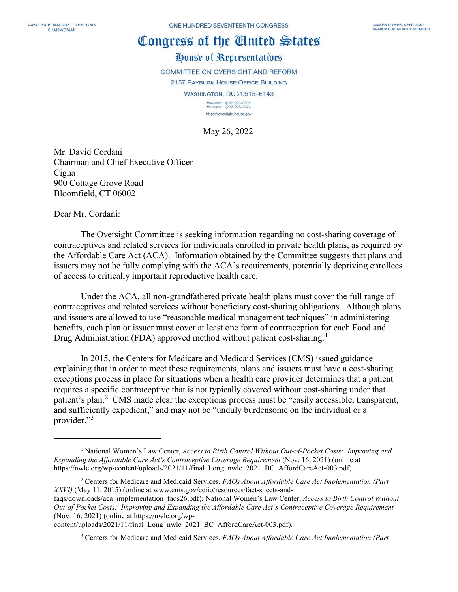## Congress of the Cinited States

## House of Representatives

COMMITTEE ON OVERSIGHT AND REFORM

2157 RAYBURN HOUSE OFFICE BUILDING WASHINGTON, DC 20515-6143

MAJORITY (202) 225-5051<br>MINORITY (202) 225-5074 https://oversight.house.gov

May 26, 2022

Mr. David Cordani Chairman and Chief Executive Officer Cigna 900 Cottage Grove Road Bloomfield, CT 06002

Dear Mr. Cordani:

The Oversight Committee is seeking information regarding no cost-sharing coverage of contraceptives and related services for individuals enrolled in private health plans, as required by the Affordable Care Act (ACA). Information obtained by the Committee suggests that plans and issuers may not be fully complying with the ACA's requirements, potentially depriving enrollees of access to critically important reproductive health care.

Under the ACA, all non-grandfathered private health plans must cover the full range of contraceptives and related services without beneficiary cost-sharing obligations. Although plans and issuers are allowed to use "reasonable medical management techniques" in administering benefits, each plan or issuer must cover at least one form of contraception for each Food and Drug Administration (FDA) approved method without patient cost-sharing.<sup>[1](#page-0-0)</sup>

In 2015, the Centers for Medicare and Medicaid Services (CMS) issued guidance explaining that in order to meet these requirements, plans and issuers must have a cost-sharing exceptions process in place for situations when a health care provider determines that a patient requires a specific contraceptive that is not typically covered without cost-sharing under that patient's plan.<sup>[2](#page-0-1)</sup> CMS made clear the exceptions process must be "easily accessible, transparent, and sufficiently expedient," and may not be "unduly burdensome on the individual or a provider."<sup>[3](#page-0-2)</sup>

<span id="page-0-0"></span><sup>1</sup> National Women's Law Center, *Access to Birth Control Without Out-of-Pocket Costs: Improving and Expanding the Affordable Care Act's Contraceptive Coverage Requirement* (Nov. 16, 2021) (online at https://nwlc.org/wp-content/uploads/2021/11/final\_Long\_nwlc\_2021\_BC\_AffordCareAct-003.pdf).

<span id="page-0-1"></span><sup>2</sup> Centers for Medicare and Medicaid Services, *FAQs About Affordable Care Act Implementation (Part XXVI)* (May 11, 2015) (online at www.cms.gov/cciio/resources/fact-sheets-and-

faqs/downloads/aca\_implementation\_faqs26.pdf); National Women's Law Center, *Access to Birth Control Without Out-of-Pocket Costs: Improving and Expanding the Affordable Care Act's Contraceptive Coverage Requirement* (Nov. 16, 2021) (online at https://nwlc.org/wp-

<span id="page-0-2"></span>content/uploads/2021/11/final\_Long\_nwlc\_2021\_BC\_AffordCareAct-003.pdf).

<sup>3</sup> Centers for Medicare and Medicaid Services, *FAQs About Affordable Care Act Implementation (Part*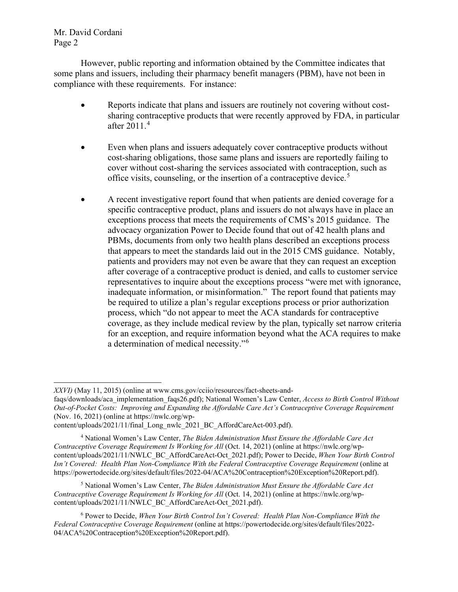Mr. David Cordani Page 2

However, public reporting and information obtained by the Committee indicates that some plans and issuers, including their pharmacy benefit managers (PBM), have not been in compliance with these requirements. For instance:

- Reports indicate that plans and issuers are routinely not covering without costsharing contraceptive products that were recently approved by FDA, in particular after 2011.[4](#page-1-0)
- Even when plans and issuers adequately cover contraceptive products without cost-sharing obligations, those same plans and issuers are reportedly failing to cover without cost-sharing the services associated with contraception, such as office visits, counseling, or the insertion of a contraceptive device.<sup>[5](#page-1-1)</sup>
- A recent investigative report found that when patients are denied coverage for a specific contraceptive product, plans and issuers do not always have in place an exceptions process that meets the requirements of CMS's 2015 guidance. The advocacy organization Power to Decide found that out of 42 health plans and PBMs, documents from only two health plans described an exceptions process that appears to meet the standards laid out in the 2015 CMS guidance. Notably, patients and providers may not even be aware that they can request an exception after coverage of a contraceptive product is denied, and calls to customer service representatives to inquire about the exceptions process "were met with ignorance, inadequate information, or misinformation." The report found that patients may be required to utilize a plan's regular exceptions process or prior authorization process, which "do not appear to meet the ACA standards for contraceptive coverage, as they include medical review by the plan, typically set narrow criteria for an exception, and require information beyond what the ACA requires to make a determination of medical necessity."[6](#page-1-2)

*XXVI)* (May 11, 2015) (online at www.cms.gov/cciio/resources/fact-sheets-and-

faqs/downloads/aca\_implementation\_faqs26.pdf); National Women's Law Center, *Access to Birth Control Without Out-of-Pocket Costs: Improving and Expanding the Affordable Care Act's Contraceptive Coverage Requirement* (Nov. 16, 2021) (online at https://nwlc.org/wp-

content/uploads/2021/11/final\_Long\_nwlc\_2021\_BC\_AffordCareAct-003.pdf).

<span id="page-1-0"></span><sup>4</sup> National Women's Law Center, *The Biden Administration Must Ensure the Affordable Care Act Contraceptive Coverage Requirement Is Working for All* (Oct. 14, 2021) (online at https://nwlc.org/wpcontent/uploads/2021/11/NWLC\_BC\_AffordCareAct-Oct\_2021.pdf); Power to Decide, *When Your Birth Control Isn't Covered: Health Plan Non-Compliance With the Federal Contraceptive Coverage Requirement* (online at https://powertodecide.org/sites/default/files/2022-04/ACA%20Contraception%20Exception%20Report.pdf).

<span id="page-1-1"></span><sup>5</sup> National Women's Law Center, *The Biden Administration Must Ensure the Affordable Care Act Contraceptive Coverage Requirement Is Working for All* (Oct. 14, 2021) (online at https://nwlc.org/wpcontent/uploads/2021/11/NWLC\_BC\_AffordCareAct-Oct\_2021.pdf).

<span id="page-1-2"></span><sup>6</sup> Power to Decide, *When Your Birth Control Isn't Covered: Health Plan Non-Compliance With the Federal Contraceptive Coverage Requirement* (online at https://powertodecide.org/sites/default/files/2022- 04/ACA%20Contraception%20Exception%20Report.pdf).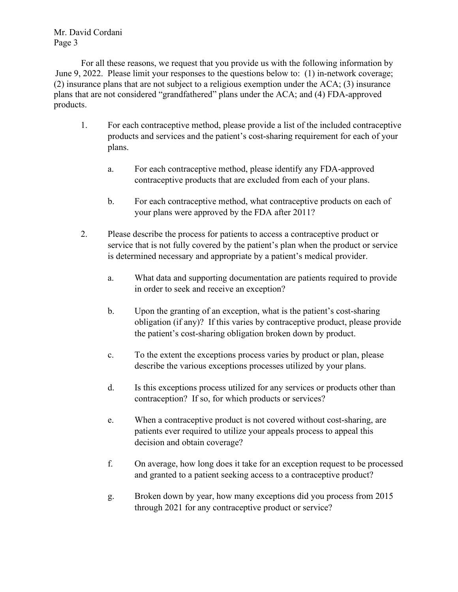Mr. David Cordani Page 3

For all these reasons, we request that you provide us with the following information by June 9, 2022. Please limit your responses to the questions below to: (1) in-network coverage; (2) insurance plans that are not subject to a religious exemption under the ACA; (3) insurance plans that are not considered "grandfathered" plans under the ACA; and (4) FDA-approved products.

- 1. For each contraceptive method, please provide a list of the included contraceptive products and services and the patient's cost-sharing requirement for each of your plans.
	- a. For each contraceptive method, please identify any FDA-approved contraceptive products that are excluded from each of your plans.
	- b. For each contraceptive method, what contraceptive products on each of your plans were approved by the FDA after 2011?
- 2. Please describe the process for patients to access a contraceptive product or service that is not fully covered by the patient's plan when the product or service is determined necessary and appropriate by a patient's medical provider.
	- a. What data and supporting documentation are patients required to provide in order to seek and receive an exception?
	- b. Upon the granting of an exception, what is the patient's cost-sharing obligation (if any)? If this varies by contraceptive product, please provide the patient's cost-sharing obligation broken down by product.
	- c. To the extent the exceptions process varies by product or plan, please describe the various exceptions processes utilized by your plans.
	- d. Is this exceptions process utilized for any services or products other than contraception? If so, for which products or services?
	- e. When a contraceptive product is not covered without cost-sharing, are patients ever required to utilize your appeals process to appeal this decision and obtain coverage?
	- f. On average, how long does it take for an exception request to be processed and granted to a patient seeking access to a contraceptive product?
	- g. Broken down by year, how many exceptions did you process from 2015 through 2021 for any contraceptive product or service?